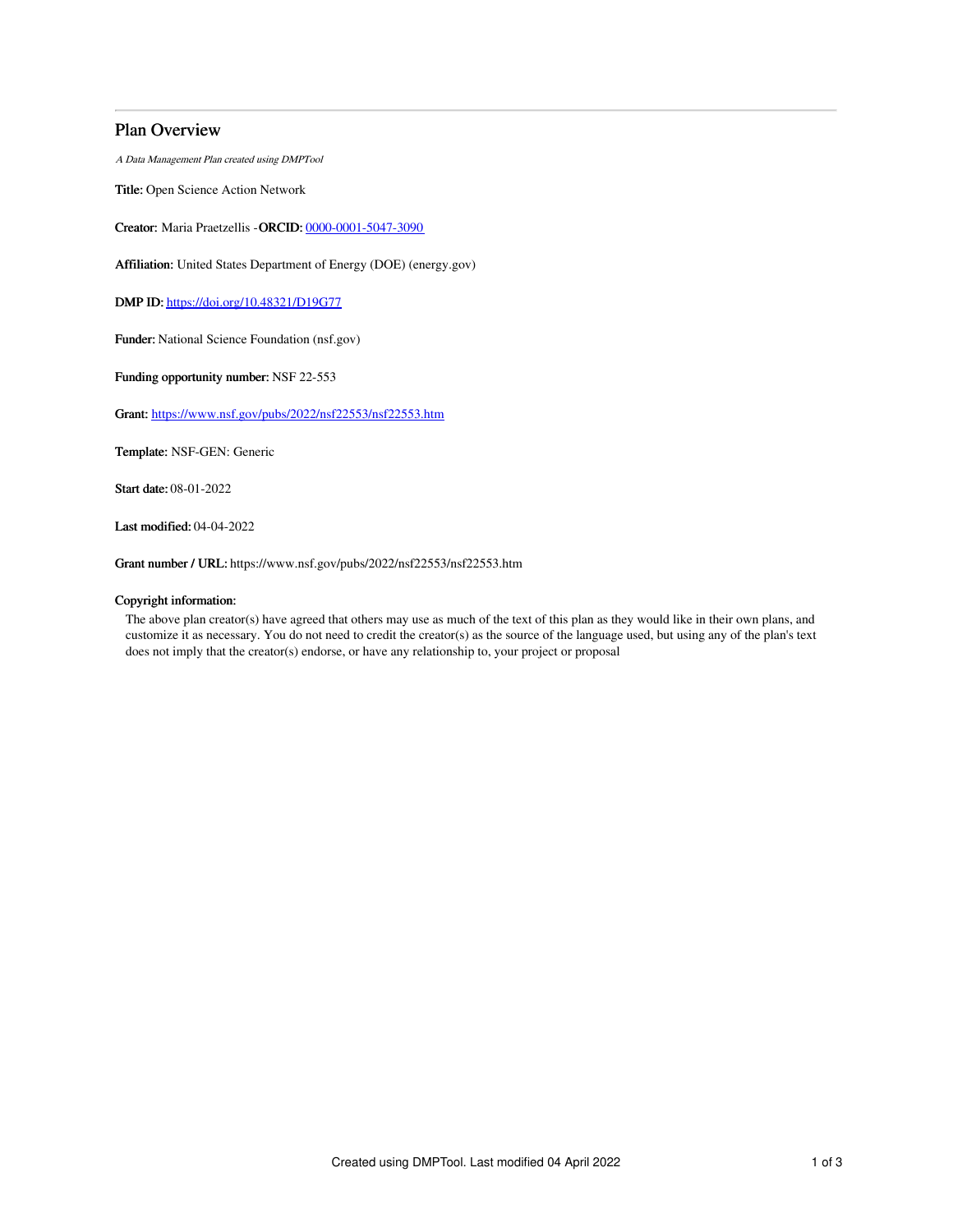# Plan Overview

A Data Management Plan created using DMPTool

Title: Open Science Action Network

Creator: Maria Praetzellis -ORCID: [0000-0001-5047-3090](https://orcid.org/0000-0001-5047-3090)

Affiliation: United States Department of Energy (DOE) (energy.gov)

DMP ID: <https://doi.org/10.48321/D19G77>

Funder: National Science Foundation (nsf.gov)

Funding opportunity number: NSF 22-553

Grant: <https://www.nsf.gov/pubs/2022/nsf22553/nsf22553.htm>

Template: NSF-GEN: Generic

Start date: 08-01-2022

Last modified: 04-04-2022

Grant number / URL: https://www.nsf.gov/pubs/2022/nsf22553/nsf22553.htm

## Copyright information:

The above plan creator(s) have agreed that others may use as much of the text of this plan as they would like in their own plans, and customize it as necessary. You do not need to credit the creator(s) as the source of the language used, but using any of the plan's text does not imply that the creator(s) endorse, or have any relationship to, your project or proposal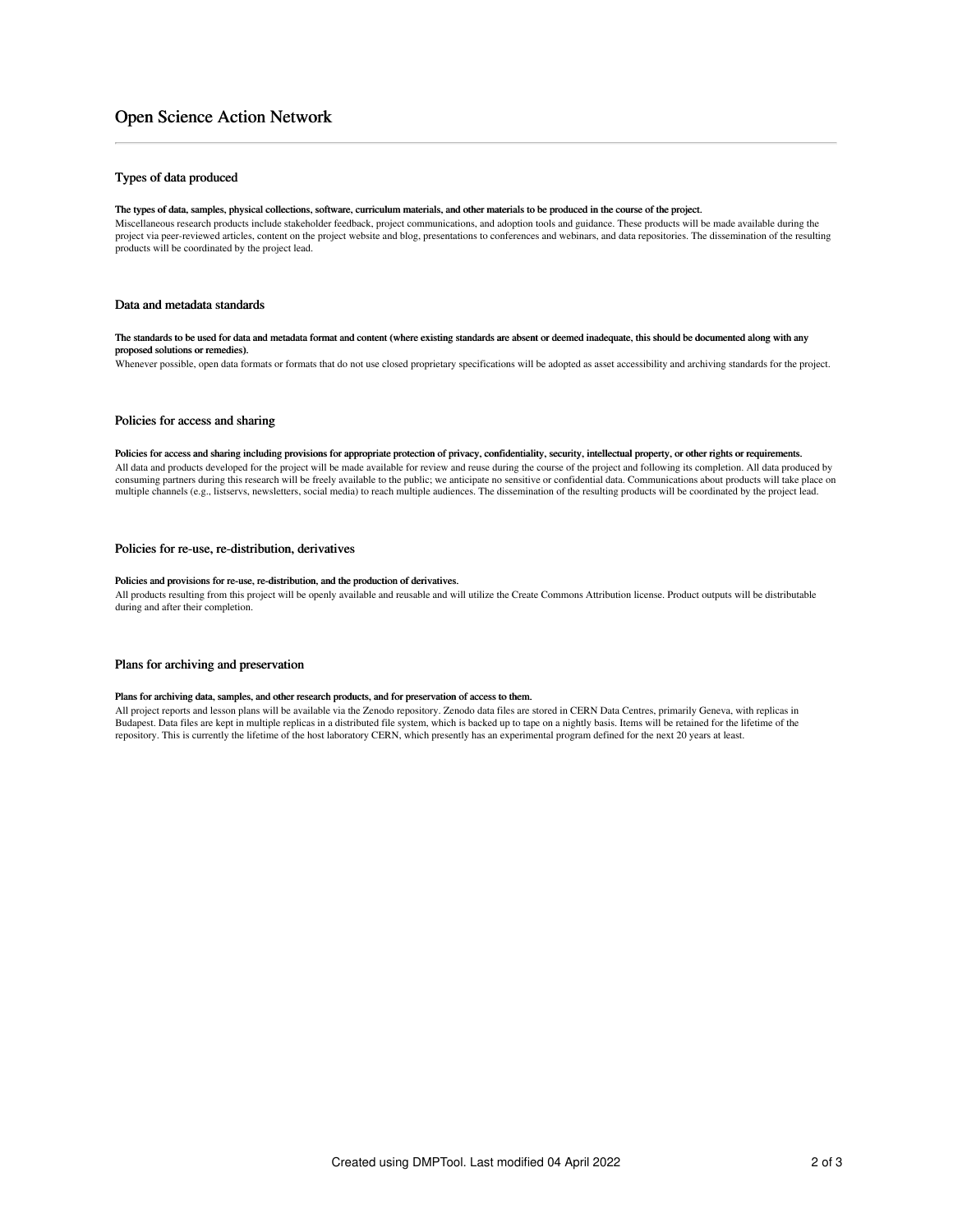# Open Science Action Network

## Types of data produced

#### The types of data, samples, physical collections, software, curriculum materials, and other materials to be produced in the course of the project.

Miscellaneous research products include stakeholder feedback, project communications, and adoption tools and guidance. These products will be made available during the project via peer-reviewed articles, content on the project website and blog, presentations to conferences and webinars, and data repositories. The dissemination of the resulting products will be coordinated by the project lead.

### Data and metadata standards

#### The standards to be used for data and metadata format and content (where existing standards are absent or deemed inadequate, this should be documented along with any proposed solutions or remedies).

Whenever possible, open data formats or formats that do not use closed proprietary specifications will be adopted as asset accessibility and archiving standards for the project.

#### Policies for access and sharing

#### Policies for access and sharing including provisions for appropriate protection of privacy, confidentiality, security, intellectual property, or other rights or requirements.

All data and products developed for the project will be made available for review and reuse during the course of the project and following its completion. All data produced by consuming partners during this research will be freely available to the public; we anticipate no sensitive or confidential data. Communications about products will take place on multiple channels (e.g., listservs, newsletters, social media) to reach multiple audiences. The dissemination of the resulting products will be coordinated by the project lead.

### Policies for re-use, re-distribution, derivatives

#### Policies and provisions for re-use, re-distribution, and the production of derivatives.

All products resulting from this project will be openly available and reusable and will utilize the Create Commons Attribution license. Product outputs will be distributable during and after their completion.

#### Plans for archiving and preservation

#### Plans for archiving data, samples, and other research products, and for preservation of access to them.

All project reports and lesson plans will be available via the Zenodo repository. Zenodo data files are stored in CERN Data Centres, primarily Geneva, with replicas in Budapest. Data files are kept in multiple replicas in a distributed file system, which is backed up to tape on a nightly basis. Items will be retained for the lifetime of the repository. This is currently the lifetime of the host laboratory CERN, which presently has an experimental program defined for the next 20 years at least.